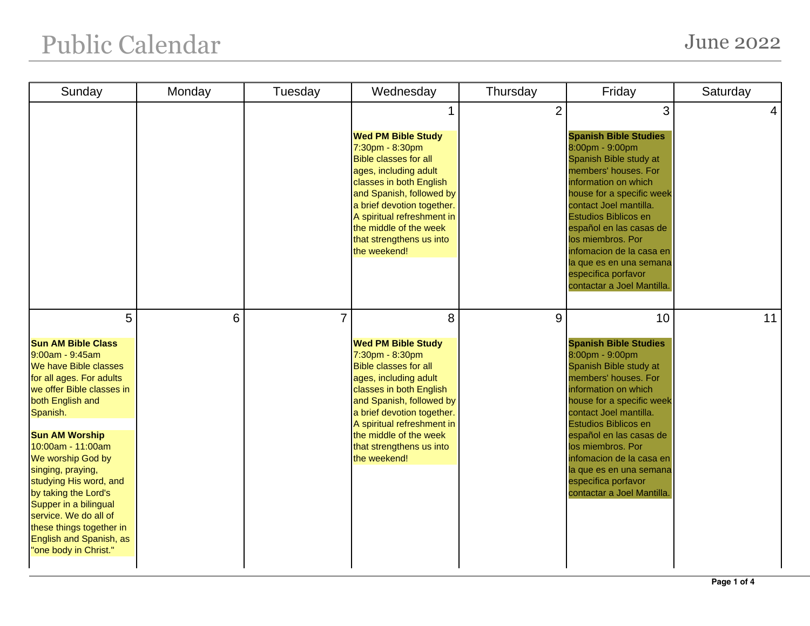## Public Calendar June 2022

| Sunday                                                                                                                                                                                                                                                                                                                                                                                                                                          | Monday | Tuesday        | Wednesday                                                                                                                                                                                                                                                                                           | Thursday       | Friday                                                                                                                                                                                                                                                                                                                                                                            | Saturday       |
|-------------------------------------------------------------------------------------------------------------------------------------------------------------------------------------------------------------------------------------------------------------------------------------------------------------------------------------------------------------------------------------------------------------------------------------------------|--------|----------------|-----------------------------------------------------------------------------------------------------------------------------------------------------------------------------------------------------------------------------------------------------------------------------------------------------|----------------|-----------------------------------------------------------------------------------------------------------------------------------------------------------------------------------------------------------------------------------------------------------------------------------------------------------------------------------------------------------------------------------|----------------|
|                                                                                                                                                                                                                                                                                                                                                                                                                                                 |        |                | 1<br><b>Wed PM Bible Study</b><br>7:30pm - 8:30pm<br><b>Bible classes for all</b><br>ages, including adult<br>classes in both English<br>and Spanish, followed by<br>a brief devotion together.<br>A spiritual refreshment in<br>the middle of the week<br>that strengthens us into<br>the weekend! | $\overline{2}$ | 3<br><b>Spanish Bible Studies</b><br>8:00pm - 9:00pm<br>Spanish Bible study at<br>members' houses. For<br>information on which<br>house for a specific week<br>contact Joel mantilla.<br>Estudios Biblicos en<br>español en las casas de<br>los miembros. Por<br>infomacion de la casa en<br>la que es en una semana<br>especifica porfavor<br>contactar a Joel Mantilla.         | $\overline{4}$ |
| 5<br><b>Sun AM Bible Class</b><br>9:00am - 9:45am<br>We have Bible classes<br>for all ages. For adults<br>we offer Bible classes in<br>both English and<br>Spanish.<br><b>Sun AM Worship</b><br>10:00am - 11:00am<br>We worship God by<br>singing, praying,<br>studying His word, and<br>by taking the Lord's<br>Supper in a bilingual<br>service. We do all of<br>these things together in<br>English and Spanish, as<br>"one body in Christ." | 6      | $\overline{7}$ | 8<br><b>Wed PM Bible Study</b><br>7:30pm - 8:30pm<br><b>Bible classes for all</b><br>ages, including adult<br>classes in both English<br>and Spanish, followed by<br>a brief devotion together.<br>A spiritual refreshment in<br>the middle of the week<br>that strengthens us into<br>the weekend! | 9              | 10<br><b>Spanish Bible Studies</b><br>8:00pm - 9:00pm<br>Spanish Bible study at<br>members' houses. For<br>information on which<br>house for a specific week<br>contact Joel mantilla.<br><b>Estudios Biblicos en</b><br>español en las casas de<br>los miembros. Por<br>infomacion de la casa en<br>la que es en una semana<br>especifica porfavor<br>contactar a Joel Mantilla. | 11             |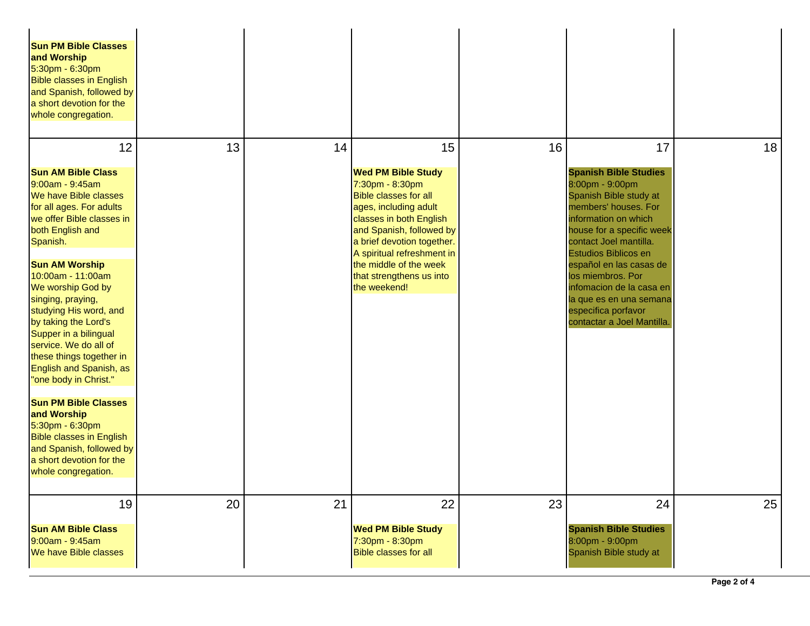| <b>Sun PM Bible Classes</b><br>and Worship<br>5:30pm - 6:30pm<br><b>Bible classes in English</b><br>and Spanish, followed by<br>a short devotion for the<br>whole congregation.                                                                                          |    |    |                                                                                                                                                                                                                          |    |                                                                                                                                                                                                          |    |
|--------------------------------------------------------------------------------------------------------------------------------------------------------------------------------------------------------------------------------------------------------------------------|----|----|--------------------------------------------------------------------------------------------------------------------------------------------------------------------------------------------------------------------------|----|----------------------------------------------------------------------------------------------------------------------------------------------------------------------------------------------------------|----|
| 12                                                                                                                                                                                                                                                                       | 13 | 14 | 15                                                                                                                                                                                                                       | 16 | 17                                                                                                                                                                                                       | 18 |
| <b>Sun AM Bible Class</b><br>9:00am - 9:45am<br>We have Bible classes<br>for all ages. For adults<br>we offer Bible classes in<br>both English and<br>Spanish.                                                                                                           |    |    | <b>Wed PM Bible Study</b><br>7:30pm - 8:30pm<br><b>Bible classes for all</b><br>ages, including adult<br>classes in both English<br>and Spanish, followed by<br>a brief devotion together.<br>A spiritual refreshment in |    | <b>Spanish Bible Studies</b><br>8:00pm - 9:00pm<br>Spanish Bible study at<br>members' houses. For<br>information on which<br>house for a specific week<br>contact Joel mantilla.<br>Estudios Biblicos en |    |
| <b>Sun AM Worship</b><br>10:00am - 11:00am<br>We worship God by<br>singing, praying,<br>studying His word, and<br>by taking the Lord's<br>Supper in a bilingual<br>service. We do all of<br>these things together in<br>English and Spanish, as<br>"one body in Christ." |    |    | the middle of the week<br>that strengthens us into<br>the weekend!                                                                                                                                                       |    | español en las casas de<br>los miembros. Por<br>infomacion de la casa en<br>la que es en una semana<br>especifica porfavor<br>contactar a Joel Mantilla.                                                 |    |
| <b>Sun PM Bible Classes</b><br>and Worship<br>5:30pm - 6:30pm<br><b>Bible classes in English</b><br>and Spanish, followed by<br>a short devotion for the<br>whole congregation.                                                                                          |    |    |                                                                                                                                                                                                                          |    |                                                                                                                                                                                                          |    |
| 19<br><b>Sun AM Bible Class</b><br>9:00am - 9:45am<br>We have Bible classes                                                                                                                                                                                              | 20 | 21 | 22<br><b>Wed PM Bible Study</b><br>7:30pm - 8:30pm<br><b>Bible classes for all</b>                                                                                                                                       | 23 | 24<br><b>Spanish Bible Studies</b><br>8:00pm - 9:00pm<br>Spanish Bible study at                                                                                                                          | 25 |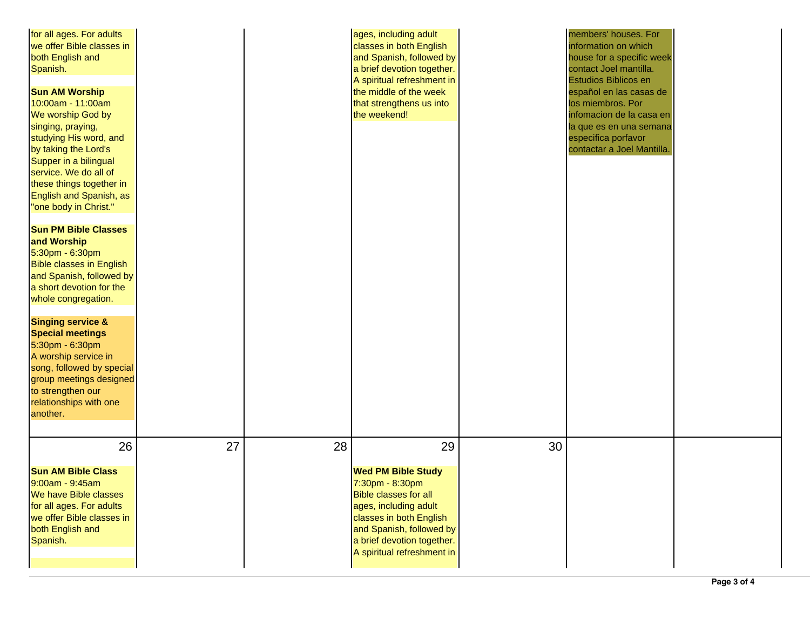| for all ages. For adults<br>we offer Bible classes in<br>both English and<br>Spanish.<br><b>Sun AM Worship</b><br>10:00am - 11:00am<br>We worship God by<br>singing, praying,<br>studying His word, and<br>by taking the Lord's<br>Supper in a bilingual<br>service. We do all of<br>these things together in<br>English and Spanish, as<br>"one body in Christ."<br><b>Sun PM Bible Classes</b><br>and Worship<br>5:30pm - 6:30pm<br><b>Bible classes in English</b><br>and Spanish, followed by<br>a short devotion for the<br>whole congregation.<br><b>Singing service &amp;</b><br><b>Special meetings</b><br>5:30pm - 6:30pm<br>A worship service in<br>song, followed by special<br>group meetings designed<br>to strengthen our<br>relationships with one<br>another. |    |    | ages, including adult<br>classes in both English<br>and Spanish, followed by<br>a brief devotion together.<br>A spiritual refreshment in<br>the middle of the week<br>that strengthens us into<br>the weekend!                 |    | members' houses. For<br>information on which<br>house for a specific week<br>contact Joel mantilla.<br>Estudios Biblicos en<br>español en las casas de<br>los miembros. Por<br>infomacion de la casa en<br>la que es en una semana<br>especifica porfavor<br>contactar a Joel Mantilla. |  |
|-------------------------------------------------------------------------------------------------------------------------------------------------------------------------------------------------------------------------------------------------------------------------------------------------------------------------------------------------------------------------------------------------------------------------------------------------------------------------------------------------------------------------------------------------------------------------------------------------------------------------------------------------------------------------------------------------------------------------------------------------------------------------------|----|----|--------------------------------------------------------------------------------------------------------------------------------------------------------------------------------------------------------------------------------|----|-----------------------------------------------------------------------------------------------------------------------------------------------------------------------------------------------------------------------------------------------------------------------------------------|--|
| 26<br><b>Sun AM Bible Class</b><br>$9:00am - 9:45am$<br>We have Bible classes<br>for all ages. For adults<br>we offer Bible classes in<br>both English and<br>Spanish.                                                                                                                                                                                                                                                                                                                                                                                                                                                                                                                                                                                                        | 27 | 28 | 29<br><b>Wed PM Bible Study</b><br>7:30pm - 8:30pm<br><b>Bible classes for all</b><br>ages, including adult<br>classes in both English<br>and Spanish, followed by<br>a brief devotion together.<br>A spiritual refreshment in | 30 |                                                                                                                                                                                                                                                                                         |  |